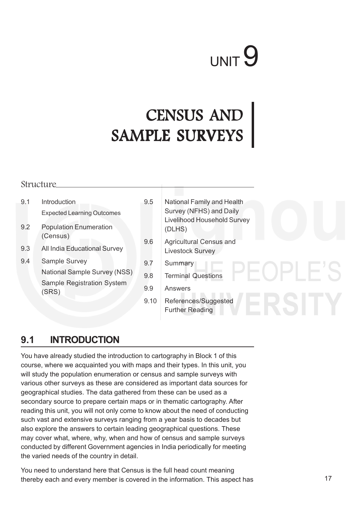# UNIT 9

# CENSUS AND SAMPLE SURVEYS

#### Structure

- 9.1 Introduction Expected Learning Outcomes
- 9.2 Population Enumeration (Census)
- 9.3 All India Educational Survey
- 9.4 Sample Survey National Sample Survey (NSS) Sample Registration System (SRS)
- 9.5 National Family and Health Survey (NFHS) and Daily Livelihood Household Survey (DLHS)
- 9.6 Agricultural Census and Livestock Survey
- 9.7 Summary
- 9.8 Terminal Questions
- 9.9 Answers
- 9.10 References/Suggested Further Reading

#### **9.1 INTRODUCTION**

You have already studied the introduction to cartography in Block 1 of this course, where we acquainted you with maps and their types. In this unit, you will study the population enumeration or census and sample surveys with various other surveys as these are considered as important data sources for geographical studies. The data gathered from these can be used as a secondary source to prepare certain maps or in thematic cartography. After reading this unit, you will not only come to know about the need of conducting such vast and extensive surveys ranging from a year basis to decades but also explore the answers to certain leading geographical questions. These may cover what, where, why, when and how of census and sample surveys conducted by different Government agencies in India periodically for meeting the varied needs of the country in detail.

You need to understand here that Census is the full head count meaning thereby each and every member is covered in the information. This aspect has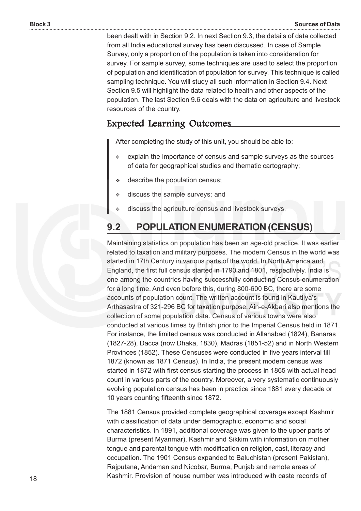been dealt with in Section 9.2. In next Section 9.3, the details of data collected from all India educational survey has been discussed. In case of Sample Survey, only a proportion of the population is taken into consideration for survey. For sample survey, some techniques are used to select the proportion of population and identification of population for survey. This technique is called sampling technique. You will study all such information in Section 9.4. Next Section 9.5 will highlight the data related to health and other aspects of the population. The last Section 9.6 deals with the data on agriculture and livestock resources of the country.

#### Expected Learning Outcomes Expected Learning Outcomes

After completing the study of this unit, you should be able to:

- explain the importance of census and sample surveys as the sources of data for geographical studies and thematic cartography;
- describe the population census;
- $\div$  discuss the sample surveys; and
- discuss the agriculture census and livestock surveys.

#### **9.2 POPULATION ENUMERATION (CENSUS)**

Maintaining statistics on population has been an age-old practice. It was earlier related to taxation and military purposes. The modern Census in the world was started in 17th Century in various parts of the world. In North America and England, the first full census started in 1790 and 1801, respectively. India is one among the countries having successfully conducting Census enumeration for a long time. And even before this, during 800-600 BC, there are some accounts of population count. The written account is found in Kautilya's Arthasastra of 321-296 BC for taxation purpose. Ain-e-Akbari also mentions the collection of some population data. Census of various towns were also conducted at various times by British prior to the Imperial Census held in 1871. For instance, the limited census was conducted in Allahabad (1824), Banaras (1827-28), Dacca (now Dhaka, 1830), Madras (1851-52) and in North Western Provinces (1852). These Censuses were conducted in five years interval till 1872 (known as 1871 Census). In India, the present modern census was started in 1872 with first census starting the process in 1865 with actual head count in various parts of the country. Moreover, a very systematic continuously evolving population census has been in practice since 1881 every decade or 10 years counting fifteenth since 1872.

The 1881 Census provided complete geographical coverage except Kashmir with classification of data under demographic, economic and social characteristics. In 1891, additional coverage was given to the upper parts of Burma (present Myanmar), Kashmir and Sikkim with information on mother tongue and parental tongue with modification on religion, cast, literacy and occupation. The 1901 Census expanded to Baluchistan (present Pakistan), Rajputana, Andaman and Nicobar, Burma, Punjab and remote areas of Kashmir. Provision of house number was introduced with caste records of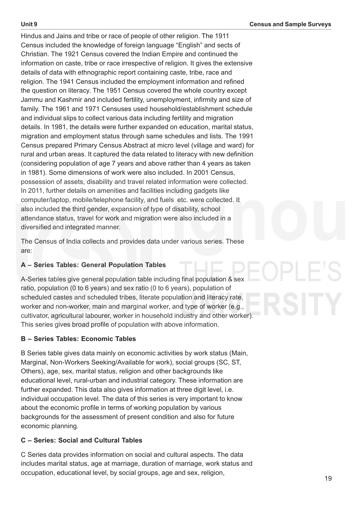Hindus and Jains and tribe or race of people of other religion. The 1911 Census included the knowledge of foreign language "English" and sects of Christian. The 1921 Census covered the Indian Empire and continued the information on caste, tribe or race irrespective of religion. It gives the extensive details of data with ethnographic report containing caste, tribe, race and religion. The 1941 Census included the employment information and refined the question on literacy. The 1951 Census covered the whole country except Jammu and Kashmir and included fertility, unemployment, infirmity and size of family. The 1961 and 1971 Censuses used household/establishment schedule and individual slips to collect various data including fertility and migration details. In 1981, the details were further expanded on education, marital status, migration and employment status through same schedules and lists. The 1991 Census prepared Primary Census Abstract at micro level (village and ward) for rural and urban areas. It captured the data related to literacy with new definition (considering population of age 7 years and above rather than 4 years as taken in 1981). Some dimensions of work were also included. In 2001 Census, possession of assets, disability and travel related information were collected. In 2011, further details on amenities and facilities including gadgets like computer/laptop, mobile/telephone facility, and fuels etc. were collected. It also included the third gender, expansion of type of disability, school attendance status, travel for work and migration were also included in a diversified and integrated manner.

The Census of India collects and provides data under various series. These are:

#### **A – Series Tables: General Population Tables**

A-Series tables give general population table including final population & sex ratio, population (0 to 6 years) and sex ratio (0 to 6 years), population of scheduled castes and scheduled tribes, literate population and literacy rate, worker and non-worker, main and marginal worker, and type of worker (e.g., cultivator, agricultural labourer, worker in household industry and other worker). This series gives broad profile of population with above information.

#### **B – Series Tables: Economic Tables**

B Series table gives data mainly on economic activities by work status (Main, Marginal, Non-Workers Seeking/Available for work), social groups (SC, ST, Others), age, sex, marital status, religion and other backgrounds like educational level, rural-urban and industrial category. These information are further expanded. This data also gives information at three digit level, *i.e.* individual occupation level. The data of this series is very important to know about the economic profile in terms of working population by various backgrounds for the assessment of present condition and also for future economic planning.

#### **C – Series: Social and Cultural Tables**

C Series data provides information on social and cultural aspects. The data includes marital status, age at marriage, duration of marriage, work status and occupation, educational level, by social groups, age and sex, religion,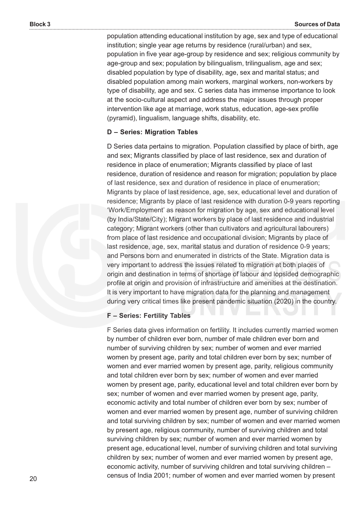population attending educational institution by age, sex and type of educational institution; single year age returns by residence (rural/urban) and sex, population in five year age-group by residence and sex; religious community by age-group and sex; population by bilingualism, trilingualism, age and sex; disabled population by type of disability, age, sex and marital status; and disabled population among main workers, marginal workers, non-workers by type of disability, age and sex. C series data has immense importance to look at the socio-cultural aspect and address the major issues through proper intervention like age at marriage, work status, education, age-sex profile (pyramid), lingualism, language shifts, disability, etc.

#### **D – Series: Migration Tables**

D Series data pertains to migration. Population classified by place of birth, age and sex; Migrants classified by place of last residence, sex and duration of residence in place of enumeration; Migrants classified by place of last residence, duration of residence and reason for migration; population by place of last residence, sex and duration of residence in place of enumeration; Migrants by place of last residence, age, sex, educational level and duration of residence; Migrants by place of last residence with duration 0-9 years reporting 'Work/Employment' as reason for migration by age, sex and educational level (by India/State/City); Migrant workers by place of last residence and industrial category; Migrant workers (other than cultivators and agricultural labourers) from place of last residence and occupational division; Migrants by place of last residence, age, sex, marital status and duration of residence 0-9 years; and Persons born and enumerated in districts of the State. Migration data is very important to address the issues related to migration at both places of origin and destination in terms of shortage of labour and lopsided demographic profile at origin and provision of infrastructure and amenities at the destination. It is very important to have migration data for the planning and management during very critical times like present pandemic situation (2020) in the country.

#### **F – Series: Fertility Tables**

F Series data gives information on fertility. It includes currently married women by number of children ever born, number of male children ever born and number of surviving children by sex; number of women and ever married women by present age, parity and total children ever born by sex; number of women and ever married women by present age, parity, religious community and total children ever born by sex; number of women and ever married women by present age, parity, educational level and total children ever born by sex; number of women and ever married women by present age, parity, economic activity and total number of children ever born by sex; number of women and ever married women by present age, number of surviving children and total surviving children by sex; number of women and ever married women by present age, religious community, number of surviving children and total surviving children by sex; number of women and ever married women by present age, educational level, number of surviving children and total surviving children by sex; number of women and ever married women by present age, economic activity, number of surviving children and total surviving children – census of India 2001; number of women and ever married women by present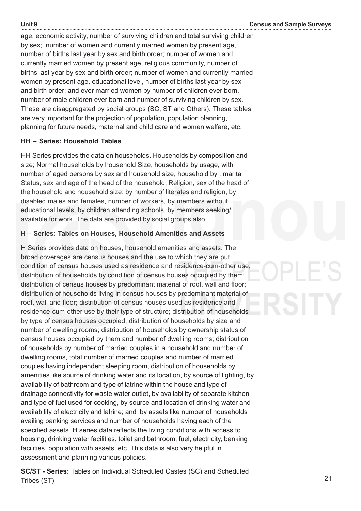age, economic activity, number of surviving children and total surviving children by sex; number of women and currently married women by present age, number of births last year by sex and birth order; number of women and currently married women by present age, religious community, number of births last year by sex and birth order; number of women and currently married women by present age, educational level, number of births last year by sex and birth order; and ever married women by number of children ever born, number of male children ever born and number of surviving children by sex. These are disaggregated by social groups (SC, ST and Others). These tables are very important for the projection of population, population planning, planning for future needs, maternal and child care and women welfare, etc.

#### **HH – Series: Household Tables**

HH Series provides the data on households. Households by composition and size; Normal households by household Size, households by usage, with number of aged persons by sex and household size, household by ; marital Status, sex and age of the head of the household; Religion, sex of the head of the household and household size; by number of literates and religion, by disabled males and females, number of workers, by members without educational levels, by children attending schools, by members seeking/ available for work. The data are provided by social groups also.

#### **H – Series: Tables on Houses, Household Amenities and Assets**

H Series provides data on houses, household amenities and assets. The broad coverages are census houses and the use to which they are put, condition of census houses used as residence and residence-cum-other use, distribution of households by condition of census houses occupied by them; distribution of census houses by predominant material of roof, wall and floor; distribution of households living in census houses by predominant material of roof, wall and floor; distribution of census houses used as residence and residence-cum-other use by their type of structure; distribution of households by type of census houses occupied; distribution of households by size and number of dwelling rooms; distribution of households by ownership status of census houses occupied by them and number of dwelling rooms; distribution of households by number of married couples in a household and number of dwelling rooms, total number of married couples and number of married couples having independent sleeping room, distribution of households by amenities like source of drinking water and its location, by source of lighting, by availability of bathroom and type of latrine within the house and type of drainage connectivity for waste water outlet, by availability of separate kitchen and type of fuel used for cooking, by source and location of drinking water and availability of electricity and latrine; and by assets like number of households availing banking services and number of households having each of the specified assets. H series data reflects the living conditions with access to housing, drinking water facilities, toilet and bathroom, fuel, electricity, banking facilities, population with assets, etc. This data is also very helpful in assessment and planning various policies.

**SC/ST - Series:** Tables on Individual Scheduled Castes (SC) and Scheduled Tribes (ST)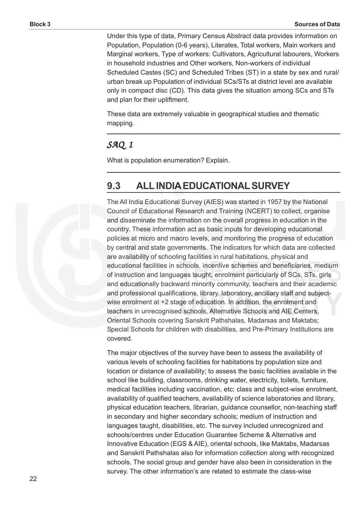Under this type of data, Primary Census Abstract data provides information on Population, Population (0-6 years), Literates, Total workers, Main workers and Marginal workers, Type of workers: Cultivators, Agricultural labourers, Workers in household industries and Other workers, Non-workers of individual Scheduled Castes (SC) and Scheduled Tribes (ST) in a state by sex and rural/ urban break up Population of individual SCs/STs at district level are available only in compact disc (CD). This data gives the situation among SCs and STs and plan for their upliftment.

These data are extremely valuable in geographical studies and thematic mapping.

#### *SAQ 1*

What is population enumeration? Explain.

### **9.3 ALL INDIA EDUCATIONAL SURVEY**

The All India Educational Survey (AIES) was started in 1957 by the National Council of Educational Research and Training (NCERT) to collect, organise and disseminate the information on the overall progress in education in the country. These information act as basic inputs for developing educational policies at micro and macro levels, and monitoring the progress of education by central and state governments. The indicators for which data are collected are availability of schooling facilities in rural habitations, physical and educational facilities in schools, incentive schemes and beneficiaries, medium of instruction and languages taught, enrolment particularly of SCs, STs, girls and educationally backward minority community, teachers and their academic and professional qualifications, library, laboratory, ancillary staff and subjectwise enrolment at +2 stage of education. In addition, the enrolment and teachers in unrecognised schools, Alternative Schools and AIE Centers, Oriental Schools covering Sanskrit Pathshalas, Madarsas and Maktabs; Special Schools for children with disabilities, and Pre-Primary Institutions are covered.

The major objectives of the survey have been to assess the availability of various levels of schooling facilities for habitations by population size and location or distance of availability; to assess the basic facilities available in the school like building, classrooms, drinking water, electricity, toilets, furniture, medical facilities including vaccination, etc; class and subject-wise enrolment, availability of qualified teachers, availability of science laboratories and library, physical education teachers, librarian, guidance counsellor, non-teaching staff in secondary and higher secondary schools; medium of instruction and languages taught, disabilities, etc. The survey included unrecognized and schools/centres under Education Guarantee Scheme & Alternative and Innovative Education (EGS & AIE), oriental schools, like Maktabs, Madarsas and Sanskrit Pathshalas also for information collection along with recognized schools. The social group and gender have also been in consideration in the survey. The other information's are related to estimate the class-wise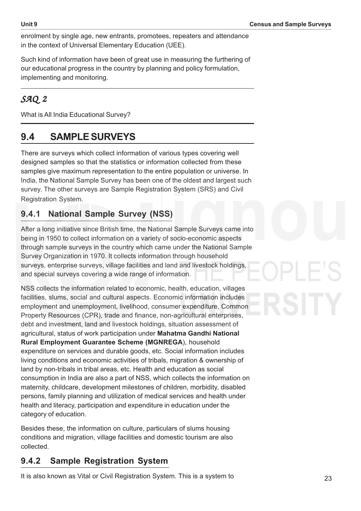enrolment by single age, new entrants, promotees, repeaters and attendance in the context of Universal Elementary Education (UEE).

Such kind of information have been of great use in measuring the furthering of our educational progress in the country by planning and policy formulation, implementing and monitoring.

#### *SAQ 2*

What is All India Educational Survey?

## **9.4 SAMPLE SURVEYS**

There are surveys which collect information of various types covering well designed samples so that the statistics or information collected from these samples give maximum representation to the entire population or universe. In India, the National Sample Survey has been one of the oldest and largest such survey. The other surveys are Sample Registration System (SRS) and Civil Registration System.

#### **9.4.1 National Sample Survey (NSS)**

After a long initiative since British time, the National Sample Surveys came into being in 1950 to collect information on a variety of socio-economic aspects through sample surveys in the country which came under the National Sample Survey Organization in 1970. It collects information through household surveys, enterprise surveys, village facilities and land and livestock holdings, and special surveys covering a wide range of information.

NSS collects the information related to economic, health, education, villages facilities, slums, social and cultural aspects. Economic information includes employment and unemployment, livelihood, consumer expenditure, Common Property Resources (CPR), trade and finance, non-agricultural enterprises, debt and investment, land and livestock holdings, situation assessment of agricultural, status of work participation under **Mahatma Gandhi National Rural Employment Guarantee Scheme (MGNREGA**), household expenditure on services and durable goods, etc. Social information includes living conditions and economic activities of tribals, migration & ownership of land by non-tribals in tribal areas, etc. Health and education as social consumption in India are also a part of NSS, which collects the information on maternity, childcare, development milestones of children, morbidity, disabled persons, family planning and utilization of medical services and health under health and literacy, participation and expenditure in education under the category of education.

Besides these, the information on culture, particulars of slums housing conditions and migration, village facilities and domestic tourism are also collected.

#### **9.4.2 Sample Registration System**

It is also known as Vital or Civil Registration System. This is a system to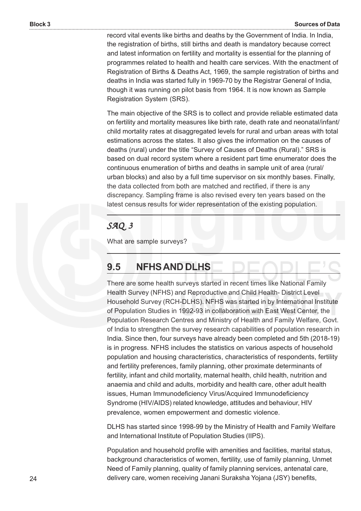record vital events like births and deaths by the Government of India. In India, the registration of births, still births and death is mandatory because correct and latest information on fertility and mortality is essential for the planning of programmes related to health and health care services. With the enactment of Registration of Births & Deaths Act, 1969, the sample registration of births and deaths in India was started fully in 1969-70 by the Registrar General of India, though it was running on pilot basis from 1964. It is now known as Sample Registration System (SRS).

The main objective of the SRS is to collect and provide reliable estimated data on fertility and mortality measures like birth rate, death rate and neonatal/infant/ child mortality rates at disaggregated levels for rural and urban areas with total estimations across the states. It also gives the information on the causes of deaths (rural) under the title "Survey of Causes of Deaths (Rural)." SRS is based on dual record system where a resident part time enumerator does the continuous enumeration of births and deaths in sample unit of area (rural/ urban blocks) and also by a full time supervisor on six monthly bases. Finally, the data collected from both are matched and rectified, if there is any discrepancy. Sampling frame is also revised every ten years based on the latest census results for wider representation of the existing population.

#### *SAQ 3*

What are sample surveys?

#### **9.5 NFHS AND DLHS**

There are some health surveys started in recent times like National Family Health Survey (NFHS) and Reproductive and Child Health- District Level Household Survey (RCH-DLHS). NFHS was started in by International Institute of Population Studies in 1992-93 in collaboration with East West Center, the Population Research Centres and Ministry of Health and Family Welfare, Govt. of India to strengthen the survey research capabilities of population research in India. Since then, four surveys have already been completed and 5th (2018-19) is in progress. NFHS includes the statistics on various aspects of household population and housing characteristics, characteristics of respondents, fertility and fertility preferences, family planning, other proximate determinants of fertility, infant and child mortality, maternal health, child health, nutrition and anaemia and child and adults, morbidity and health care, other adult health issues, Human Immunodeficiency Virus/Acquired Immunodeficiency Syndrome (HIV/AIDS) related knowledge, attitudes and behaviour, HIV prevalence, women empowerment and domestic violence.

DLHS has started since 1998-99 by the Ministry of Health and Family Welfare and International Institute of Population Studies (IIPS).

Population and household profile with amenities and facilities, marital status, background characteristics of women, fertility, use of family planning, Unmet Need of Family planning, quality of family planning services, antenatal care, delivery care, women receiving Janani Suraksha Yojana (JSY) benefits,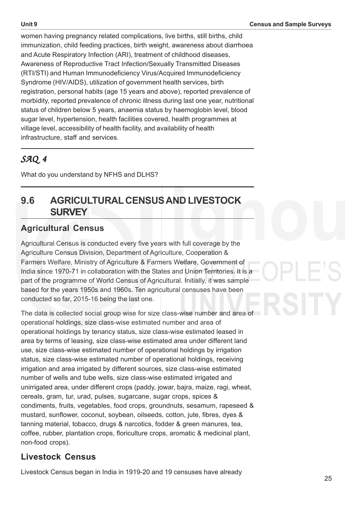women having pregnancy related complications, live births, still births, child immunization, child feeding practices, birth weight, awareness about diarrhoea and Acute Respiratory Infection (ARI), treatment of childhood diseases, Awareness of Reproductive Tract Infection/Sexually Transmitted Diseases (RTI/STI) and Human Immunodeficiency Virus/Acquired Immunodeficiency Syndrome (HIV/AIDS), utilization of government health services, birth registration, personal habits (age 15 years and above), reported prevalence of morbidity, reported prevalence of chronic illness during last one year, nutritional status of children below 5 years, anaemia status by haemoglobin level, blood sugar level, hypertension, health facilities covered, health programmes at village level, accessibility of health facility, and availability of health infrastructure, staff and services.

#### *SAQ 4*

What do you understand by NFHS and DLHS?

#### **9.6 AGRICULTURAL CENSUS AND LIVESTOCK SURVEY**

#### **Agricultural Census**

Agricultural Census is conducted every five years with full coverage by the Agriculture Census Division, Department of Agriculture, Cooperation & Farmers Welfare, Ministry of Agriculture & Farmers Welfare, Government of India since 1970-71 in collaboration with the States and Union Territories. It is a part of the programme of World Census of Agricultural. Initially, it was sample based for the years 1950s and 1960s. Ten agricultural censuses have been conducted so far, 2015-16 being the last one.

The data is collected social group wise for size class-wise number and area of operational holdings, size class-wise estimated number and area of operational holdings by tenancy status, size class-wise estimated leased in area by terms of leasing, size class-wise estimated area under different land use, size class-wise estimated number of operational holdings by irrigation status, size class-wise estimated number of operational holdings, receiving irrigation and area irrigated by different sources, size class-wise estimated number of wells and tube wells, size class-wise estimated irrigated and unirrigated area, under different crops (paddy, jowar, bajra, maize, ragi, wheat, cereals, gram, tur, urad, pulses, sugarcane, sugar crops, spices & condiments, fruits, vegetables, food crops, groundnuts, sesamum, rapeseed & mustard, sunflower, coconut, soybean, oilseeds, cotton, jute, fibres, dyes & tanning material, tobacco, drugs & narcotics, fodder & green manures, tea, coffee, rubber, plantation crops, floriculture crops, aromatic & medicinal plant, non-food crops).

#### **Livestock Census**

Livestock Census began in India in 1919-20 and 19 censuses have already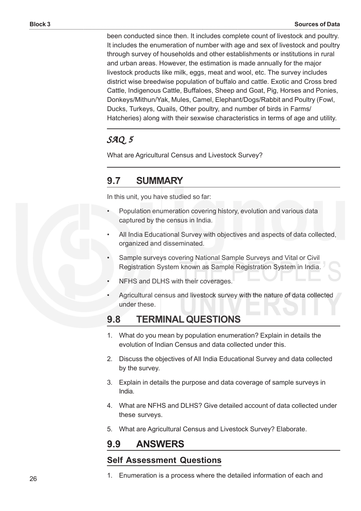been conducted since then. It includes complete count of livestock and poultry. It includes the enumeration of number with age and sex of livestock and poultry through survey of households and other establishments or institutions in rural and urban areas. However, the estimation is made annually for the major livestock products like milk, eggs, meat and wool, etc. The survey includes district wise breedwise population of buffalo and cattle. Exotic and Cross bred Cattle, Indigenous Cattle, Buffaloes, Sheep and Goat, Pig, Horses and Ponies, Donkeys/Mithun/Yak, Mules, Camel, Elephant/Dogs/Rabbit and Poultry (Fowl, Ducks, Turkeys, Quails, Other poultry, and number of birds in Farms/ Hatcheries) along with their sexwise characteristics in terms of age and utility.

#### *SAQ 5*

What are Agricultural Census and Livestock Survey?

#### **9.7 SUMMARY**

In this unit, you have studied so far:

- Population enumeration covering history, evolution and various data captured by the census in India.
- All India Educational Survey with objectives and aspects of data collected, organized and disseminated.
- Sample surveys covering National Sample Surveys and Vital or Civil Registration System known as Sample Registration System in India.
- NFHS and DLHS with their coverages.
- Agricultural census and livestock survey with the nature of data collected under these.

#### **9.8 TERMINAL QUESTIONS**

- 1. What do you mean by population enumeration? Explain in details the evolution of Indian Census and data collected under this.
- 2. Discuss the objectives of All India Educational Survey and data collected by the survey.
- 3. Explain in details the purpose and data coverage of sample surveys in India.
- 4. What are NFHS and DLHS? Give detailed account of data collected under these surveys.
- 5. What are Agricultural Census and Livestock Survey? Elaborate.

#### **9.9 ANSWERS**

#### **Self Assessment Questions**

1. Enumeration is a process where the detailed information of each and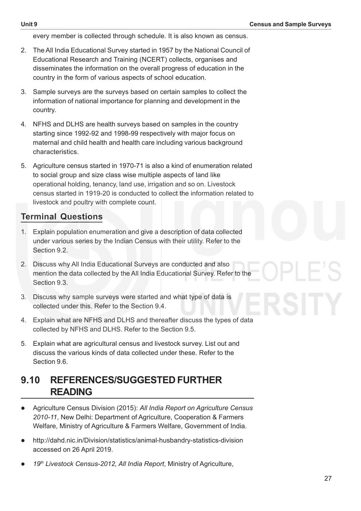every member is collected through schedule. It is also known as census.

- 2. The All India Educational Survey started in 1957 by the National Council of Educational Research and Training (NCERT) collects, organises and disseminates the information on the overall progress of education in the country in the form of various aspects of school education.
- 3. Sample surveys are the surveys based on certain samples to collect the information of national importance for planning and development in the country.
- 4. NFHS and DLHS are health surveys based on samples in the country starting since 1992-92 and 1998-99 respectively with major focus on maternal and child health and health care including various background characteristics.
- 5. Agriculture census started in 1970-71 is also a kind of enumeration related to social group and size class wise multiple aspects of land like operational holding, tenancy, land use, irrigation and so on. Livestock census started in 1919-20 is conducted to collect the information related to livestock and poultry with complete count.

#### **Terminal Questions**

- 1. Explain population enumeration and give a description of data collected under various series by the Indian Census with their utility. Refer to the Section 9.2.
- 2. Discuss why All India Educational Surveys are conducted and also mention the data collected by the All India Educational Survey. Refer to the Section 9.3.
- 3. Discuss why sample surveys were started and what type of data is collected under this. Refer to the Section 9.4.
- 4. Explain what are NFHS and DLHS and thereafter discuss the types of data collected by NFHS and DLHS. Refer to the Section 9.5.
- 5. Explain what are agricultural census and livestock survey. List out and discuss the various kinds of data collected under these. Refer to the Section 9.6.

#### **9.10 REFERENCES/SUGGESTED FURTHER READING**

- Agriculture Census Division (2015): *All India Report on Agriculture Census 2010-11*, New Delhi: Department of Agriculture, Cooperation & Farmers Welfare, Ministry of Agriculture & Farmers Welfare, Government of India.
- http://dahd.nic.in/Division/statistics/animal-husbandry-statistics-division accessed on 26 April 2019.
- *19th Livestock Census-2012, All India Report*, Ministry of Agriculture,